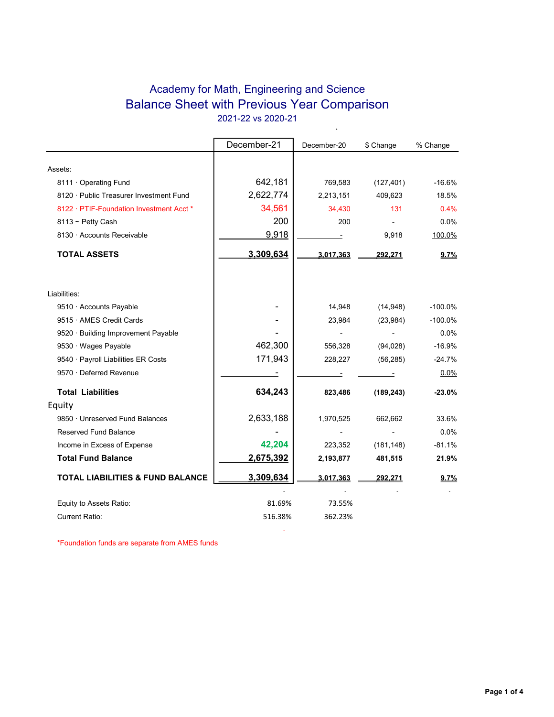# Academy for Math, Engineering and Science Balance Sheet with Previous Year Comparison 2021-22 vs 2020-21

 $\ddot{\phantom{0}}$ 

|                                             | December-21 | December-20 | \$ Change  | % Change  |
|---------------------------------------------|-------------|-------------|------------|-----------|
|                                             |             |             |            |           |
| Assets:                                     |             |             |            |           |
| 8111 Operating Fund                         | 642,181     | 769,583     | (127, 401) | $-16.6%$  |
| 8120 · Public Treasurer Investment Fund     | 2,622,774   | 2,213,151   | 409,623    | 18.5%     |
| 8122 · PTIF-Foundation Investment Acct *    | 34,561      | 34,430      | 131        | 0.4%      |
| $8113 \sim$ Petty Cash                      | 200         | 200         |            | 0.0%      |
| 8130 · Accounts Receivable                  | 9,918       |             | 9,918      | 100.0%    |
| <b>TOTAL ASSETS</b>                         | 3,309,634   | 3,017,363   | 292,271    | 9.7%      |
| Liabilities:                                |             |             |            |           |
| 9510 · Accounts Payable                     |             | 14,948      | (14, 948)  | $-100.0%$ |
| 9515 · AMES Credit Cards                    |             | 23,984      | (23, 984)  | $-100.0%$ |
| 9520 · Building Improvement Payable         |             |             |            | 0.0%      |
| 9530 · Wages Payable                        | 462,300     | 556,328     | (94, 028)  | $-16.9%$  |
| 9540 · Payroll Liabilities ER Costs         | 171,943     | 228,227     | (56, 285)  | $-24.7%$  |
| 9570 · Deferred Revenue                     |             |             |            | 0.0%      |
| <b>Total Liabilities</b>                    | 634,243     | 823,486     | (189, 243) | $-23.0%$  |
| Equity                                      |             |             |            |           |
| 9850 · Unreserved Fund Balances             | 2,633,188   | 1,970,525   | 662,662    | 33.6%     |
| Reserved Fund Balance                       |             |             |            | 0.0%      |
| Income in Excess of Expense                 | 42,204      | 223,352     | (181, 148) | $-81.1%$  |
| <b>Total Fund Balance</b>                   | 2,675,392   | 2,193,877   | 481,515    | 21.9%     |
| <b>TOTAL LIABILITIES &amp; FUND BALANCE</b> | 3,309,634   | 3,017,363   | 292,271    | 9.7%      |
| Equity to Assets Ratio:                     | 81.69%      | 73.55%      |            |           |
| <b>Current Ratio:</b>                       | 516.38%     | 362.23%     |            |           |

**- All and State State** 

\*Foundation funds are separate from AMES funds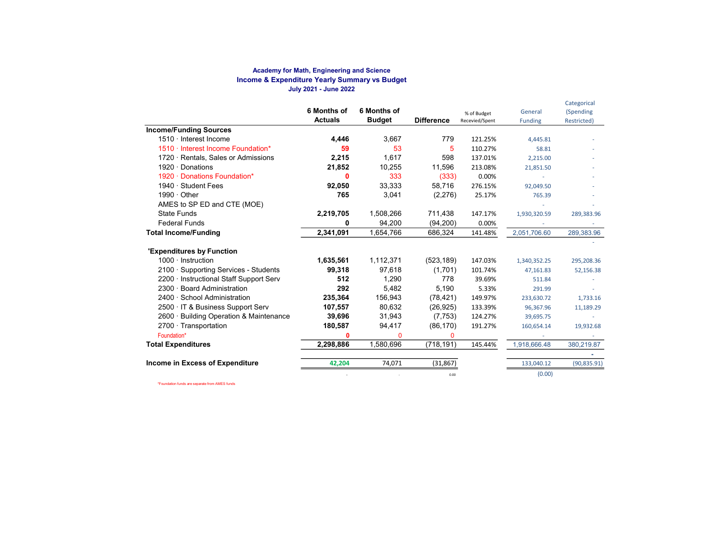#### Academy for Math, Engineering and Science Income & Expenditure Yearly Summary vs Budget July 2021 - June 2022

|                                         | 6 Months of<br><b>Actuals</b> | 6 Months of<br><b>Budget</b> | <b>Difference</b> | % of Budget<br>Recevied/Spent | General<br><b>Funding</b> | Categorical<br>(Spending<br>Restricted) |
|-----------------------------------------|-------------------------------|------------------------------|-------------------|-------------------------------|---------------------------|-----------------------------------------|
| <b>Income/Funding Sources</b>           |                               |                              |                   |                               |                           |                                         |
| 1510 · Interest Income                  | 4,446                         | 3.667                        | 779               | 121.25%                       | 4,445.81                  |                                         |
| 1510 · Interest Income Foundation*      | 59                            | 53                           | 5                 | 110.27%                       | 58.81                     |                                         |
| 1720 · Rentals, Sales or Admissions     | 2,215                         | 1.617                        | 598               | 137.01%                       | 2,215.00                  |                                         |
| $1920 \cdot$ Donations                  | 21,852                        | 10,255                       | 11,596            | 213.08%                       | 21,851.50                 |                                         |
| 1920 · Donations Foundation*            | ŋ                             | 333                          | (333)             | 0.00%                         |                           |                                         |
| 1940 · Student Fees                     | 92,050                        | 33,333                       | 58.716            | 276.15%                       | 92,049.50                 |                                         |
| $1990 \cdot$ Other                      | 765                           | 3,041                        | (2,276)           | 25.17%                        | 765.39                    |                                         |
| AMES to SP ED and CTE (MOE)             |                               |                              |                   |                               |                           |                                         |
| <b>State Funds</b>                      | 2,219,705                     | 1,508,266                    | 711,438           | 147.17%                       | 1,930,320.59              | 289,383.96                              |
| <b>Federal Funds</b>                    | ŋ                             | 94,200                       | (94, 200)         | 0.00%                         |                           |                                         |
| <b>Total Income/Funding</b>             | 2.341.091                     | 1,654,766                    | 686,324           | 141.48%                       | 2,051,706.60              | 289,383.96                              |
| <b>'Expenditures by Function</b>        |                               |                              |                   |                               |                           |                                         |
| $1000 \cdot$ Instruction                | 1,635,561                     | 1,112,371                    | (523, 189)        | 147.03%                       | 1,340,352.25              | 295,208.36                              |
| 2100 · Supporting Services - Students   | 99,318                        | 97,618                       | (1,701)           | 101.74%                       | 47,161.83                 | 52,156.38                               |
| 2200 · Instructional Staff Support Serv | 512                           | 1.290                        | 778               | 39.69%                        | 511.84                    |                                         |
| 2300 · Board Administration             | 292                           | 5,482                        | 5.190             | 5.33%                         | 291.99                    |                                         |
| 2400 · School Administration            | 235.364                       | 156,943                      | (78, 421)         | 149.97%                       | 233,630.72                | 1,733.16                                |
| 2500 · IT & Business Support Serv       | 107,557                       | 80.632                       | (26, 925)         | 133.39%                       | 96,367.96                 | 11,189.29                               |
| 2600 · Building Operation & Maintenance | 39,696                        | 31,943                       | (7,753)           | 124.27%                       | 39,695.75                 |                                         |
| $2700 \cdot$ Transportation             | 180,587                       | 94,417                       | (86, 170)         | 191.27%                       | 160,654.14                | 19,932.68                               |
| Foundation*                             | 0                             | $\mathbf 0$                  | $\Omega$          |                               |                           |                                         |
| <b>Total Expenditures</b>               | 2,298,886                     | 1,580,696                    | (718,191)         | 145.44%                       | 1,918,666.48              | 380,219.87                              |
|                                         |                               |                              |                   |                               |                           |                                         |
| Income in Excess of Expenditure         | 42,204                        | 74,071                       | (31, 867)         |                               | 133,040.12                | (90, 835.91)                            |
|                                         |                               |                              | 0.00              |                               | (0.00)                    |                                         |

\*Foundation funds are separate from AMES funds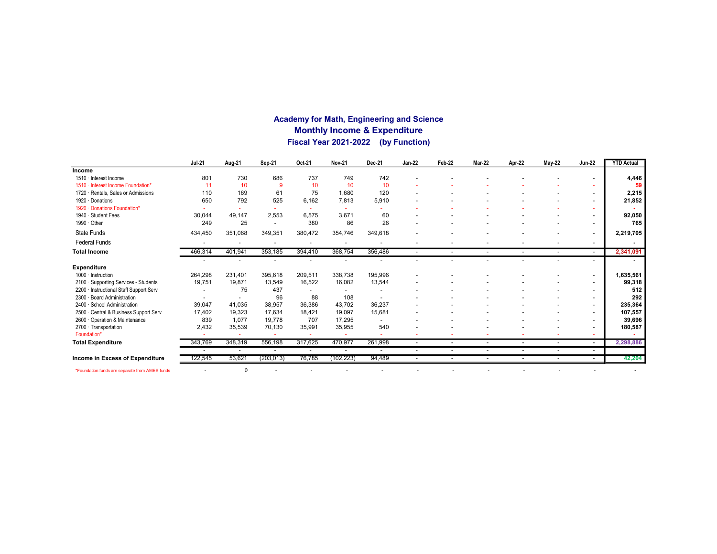## Academy for Math, Engineering and Science Monthly Income & Expenditure Fiscal Year 2021-2022 (by Function)

|                                                | <b>Jul-21</b> | Aug-21                   | Sep-21                   | Oct-21  | <b>Nov-21</b> | Dec-21  | <b>Jan-22</b>            | Feb-22                   | Mar-22                   | Apr-22                   | <b>May-22</b>            | <b>Jun-22</b>            | <b>YTD Actual</b> |
|------------------------------------------------|---------------|--------------------------|--------------------------|---------|---------------|---------|--------------------------|--------------------------|--------------------------|--------------------------|--------------------------|--------------------------|-------------------|
| Income                                         |               |                          |                          |         |               |         |                          |                          |                          |                          |                          |                          |                   |
| 1510 · Interest Income                         | 801           | 730                      | 686                      | 737     | 749           | 742     |                          |                          |                          |                          |                          |                          | 4,446             |
| 1510 · Interest Income Foundation'             | 11            | 10                       | 9                        | 10      | 10            | 10      |                          |                          |                          |                          |                          | ۰                        | 59                |
| 1720 · Rentals, Sales or Admissions            | 110           | 169                      | 61                       | 75      | 1,680         | 120     |                          |                          |                          |                          |                          | $\overline{\phantom{a}}$ | 2,215             |
| 1920 · Donations                               | 650           | 792                      | 525                      | 6,162   | 7,813         | 5,910   |                          |                          |                          |                          |                          | -                        | 21,852            |
| 1920 · Donations Foundation*                   |               |                          |                          |         |               |         |                          |                          |                          |                          |                          |                          |                   |
| 1940 · Student Fees                            | 30,044        | 49,147                   | 2,553                    | 6,575   | 3,671         | 60      |                          |                          |                          |                          |                          | $\overline{\phantom{a}}$ | 92,050            |
| 1990 · Other                                   | 249           | 25                       | $\overline{\phantom{a}}$ | 380     | 86            | 26      |                          |                          |                          |                          |                          | $\overline{\phantom{0}}$ | 765               |
| State Funds                                    | 434,450       | 351,068                  | 349,351                  | 380,472 | 354,746       | 349,618 |                          |                          |                          |                          |                          | $\overline{\phantom{0}}$ | 2,219,705         |
| <b>Federal Funds</b>                           |               |                          |                          |         |               |         |                          |                          |                          |                          |                          | $\overline{\phantom{0}}$ |                   |
| <b>Total Income</b>                            | 466,314       | 401.941                  | 353,185                  | 394,410 | 368,754       | 356,486 | $\overline{\phantom{a}}$ |                          | $\overline{\phantom{a}}$ | $\overline{\phantom{a}}$ | $\overline{\phantom{a}}$ | $\sim$                   | 2,341,091         |
|                                                |               |                          |                          |         |               |         |                          |                          |                          |                          |                          | $\overline{\phantom{0}}$ |                   |
| <b>Expenditure</b>                             |               |                          |                          |         |               |         |                          |                          |                          |                          |                          |                          |                   |
| 1000 · Instruction                             | 264,298       | 231,401                  | 395,618                  | 209,511 | 338,738       | 195,996 |                          |                          |                          |                          |                          | $\overline{\phantom{a}}$ | 1,635,561         |
| 2100 · Supporting Services - Students          | 19,751        | 19.871                   | 13,549                   | 16,522  | 16,082        | 13,544  |                          |                          |                          |                          |                          | $\overline{\phantom{a}}$ | 99,318            |
| 2200 · Instructional Staff Support Serv        |               | 75                       | 437                      |         |               |         |                          |                          |                          |                          |                          | $\overline{\phantom{a}}$ | 512               |
| 2300 · Board Administration                    |               | $\overline{\phantom{a}}$ | 96                       | 88      | 108           |         |                          |                          |                          |                          |                          | $\overline{\phantom{a}}$ | 292               |
| 2400 · School Administration                   | 39,047        | 41,035                   | 38,957                   | 36,386  | 43,702        | 36,237  |                          |                          |                          |                          |                          |                          | 235,364           |
| 2500 · Central & Business Support Serv         | 17.402        | 19,323                   | 17,634                   | 18,421  | 19,097        | 15,681  |                          |                          |                          |                          |                          | $\overline{\phantom{0}}$ | 107,557           |
| 2600 Operation & Maintenance                   | 839           | 1.077                    | 19,778                   | 707     | 17,295        |         |                          |                          |                          |                          |                          | -                        | 39,696            |
| 2700 · Transportation                          | 2,432         | 35,539                   | 70,130                   | 35,991  | 35,955        | 540     |                          |                          |                          |                          |                          | $\overline{\phantom{a}}$ | 180,587           |
| Foundation*                                    |               |                          |                          |         |               |         |                          |                          |                          |                          |                          | ۰                        |                   |
| <b>Total Expenditure</b>                       | 343,769       | 348,319                  | 556,198                  | 317,625 | 470,977       | 261,998 | $\sim$                   | $\overline{\phantom{a}}$ | $\overline{\phantom{a}}$ | $\overline{\phantom{a}}$ | $\overline{\phantom{a}}$ | $\sim$                   | 2,298,886         |
|                                                |               | $\overline{\phantom{a}}$ |                          |         |               |         | $\blacksquare$           | $\overline{\phantom{a}}$ |                          | $\overline{\phantom{a}}$ |                          | $\overline{a}$           |                   |
| Income in Excess of Expenditure                | 122,545       | 53,621                   | (203, 013)               | 76,785  | (102, 223)    | 94,489  |                          |                          |                          |                          |                          | $\overline{\phantom{a}}$ | 42,204            |
| *Foundation funds are separate from AMES funds |               | $\Omega$                 |                          |         |               |         |                          |                          |                          |                          |                          |                          |                   |